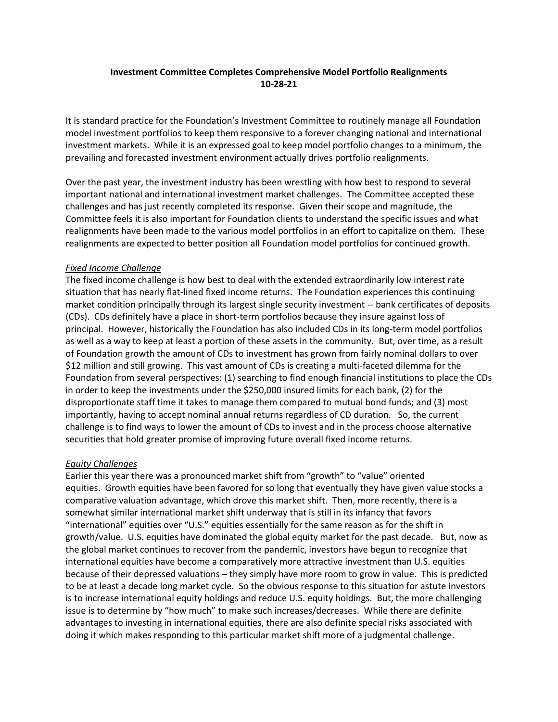### **Investment Committee Completes Comprehensive Model Portfolio Realignments 10-28-21**

It is standard practice for the Foundation's Investment Committee to routinely manage all Foundation model investment portfolios to keep them responsive to a forever changing national and international investment markets. While it is an expressed goal to keep model portfolio changes to a minimum, the prevailing and forecasted investment environment actually drives portfolio realignments.

Over the past year, the investment industry has been wrestling with how best to respond to several important national and international investment market challenges. The Committee accepted these challenges and has just recently completed its response. Given their scope and magnitude, the Committee feels it is also important for Foundation clients to understand the specific issues and what realignments have been made to the various model portfolios in an effort to capitalize on them. These realignments are expected to better position all Foundation model portfolios for continued growth.

#### *Fixed Income Challenge*

The fixed income challenge is how best to deal with the extended extraordinarily low interest rate situation that has nearly flat-lined fixed income returns. The Foundation experiences this continuing market condition principally through its largest single security investment -- bank certificates of deposits (CDs). CDs definitely have a place in short-term portfolios because they insure against loss of principal. However, historically the Foundation has also included CDs in its long-term model portfolios as well as a way to keep at least a portion of these assets in the community. But, over time, as a result of Foundation growth the amount of CDs to investment has grown from fairly nominal dollars to over \$12 million and still growing. This vast amount of CDs is creating a multi-faceted dilemma for the Foundation from several perspectives: (1) searching to find enough financial institutions to place the CDs in order to keep the investments under the \$250,000 insured limits for each bank, (2) for the disproportionate staff time it takes to manage them compared to mutual bond funds; and (3) most importantly, having to accept nominal annual returns regardless of CD duration. So, the current challenge is to find ways to lower the amount of CDs to invest and in the process choose alternative securities that hold greater promise of improving future overall fixed income returns.

### *Equity Challenges*

Earlier this year there was a pronounced market shift from "growth" to "value" oriented equities. Growth equities have been favored for so long that eventually they have given value stocks a comparative valuation advantage, which drove this market shift. Then, more recently, there is a somewhat similar international market shift underway that is still in its infancy that favors "international" equities over "U.S." equities essentially for the same reason as for the shift in growth/value. U.S. equities have dominated the global equity market for the past decade. But, now as the global market continues to recover from the pandemic, investors have begun to recognize that international equities have become a comparatively more attractive investment than U.S. equities because of their depressed valuations – they simply have more room to grow in value. This is predicted to be at least a decade long market cycle. So the obvious response to this situation for astute investors is to increase international equity holdings and reduce U.S. equity holdings. But, the more challenging issue is to determine by "how much" to make such increases/decreases. While there are definite advantages to investing in international equities, there are also definite special risks associated with doing it which makes responding to this particular market shift more of a judgmental challenge.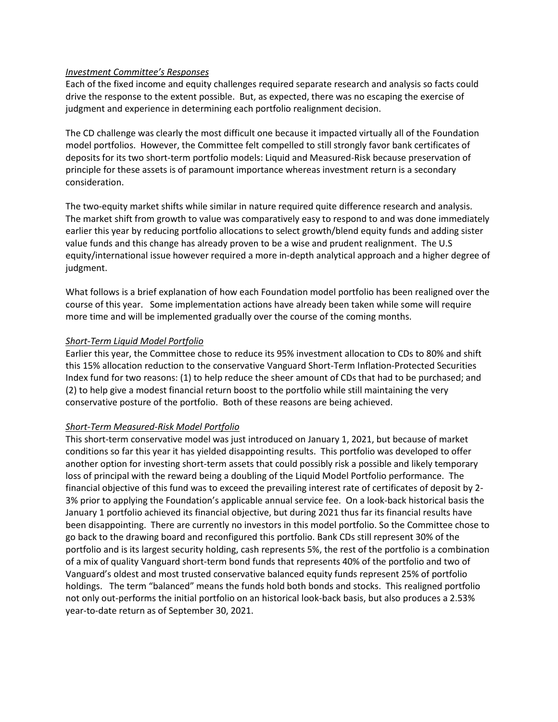#### *Investment Committee's Responses*

Each of the fixed income and equity challenges required separate research and analysis so facts could drive the response to the extent possible. But, as expected, there was no escaping the exercise of judgment and experience in determining each portfolio realignment decision.

The CD challenge was clearly the most difficult one because it impacted virtually all of the Foundation model portfolios. However, the Committee felt compelled to still strongly favor bank certificates of deposits for its two short-term portfolio models: Liquid and Measured-Risk because preservation of principle for these assets is of paramount importance whereas investment return is a secondary consideration.

The two-equity market shifts while similar in nature required quite difference research and analysis. The market shift from growth to value was comparatively easy to respond to and was done immediately earlier this year by reducing portfolio allocations to select growth/blend equity funds and adding sister value funds and this change has already proven to be a wise and prudent realignment. The U.S equity/international issue however required a more in-depth analytical approach and a higher degree of judgment.

What follows is a brief explanation of how each Foundation model portfolio has been realigned over the course of this year. Some implementation actions have already been taken while some will require more time and will be implemented gradually over the course of the coming months.

### *Short-Term Liquid Model Portfolio*

Earlier this year, the Committee chose to reduce its 95% investment allocation to CDs to 80% and shift this 15% allocation reduction to the conservative Vanguard Short-Term Inflation-Protected Securities Index fund for two reasons: (1) to help reduce the sheer amount of CDs that had to be purchased; and (2) to help give a modest financial return boost to the portfolio while still maintaining the very conservative posture of the portfolio. Both of these reasons are being achieved.

### *Short-Term Measured-Risk Model Portfolio*

This short-term conservative model was just introduced on January 1, 2021, but because of market conditions so far this year it has yielded disappointing results. This portfolio was developed to offer another option for investing short-term assets that could possibly risk a possible and likely temporary loss of principal with the reward being a doubling of the Liquid Model Portfolio performance. The financial objective of this fund was to exceed the prevailing interest rate of certificates of deposit by 2- 3% prior to applying the Foundation's applicable annual service fee. On a look-back historical basis the January 1 portfolio achieved its financial objective, but during 2021 thus far its financial results have been disappointing. There are currently no investors in this model portfolio. So the Committee chose to go back to the drawing board and reconfigured this portfolio. Bank CDs still represent 30% of the portfolio and is its largest security holding, cash represents 5%, the rest of the portfolio is a combination of a mix of quality Vanguard short-term bond funds that represents 40% of the portfolio and two of Vanguard's oldest and most trusted conservative balanced equity funds represent 25% of portfolio holdings. The term "balanced" means the funds hold both bonds and stocks. This realigned portfolio not only out-performs the initial portfolio on an historical look-back basis, but also produces a 2.53% year-to-date return as of September 30, 2021.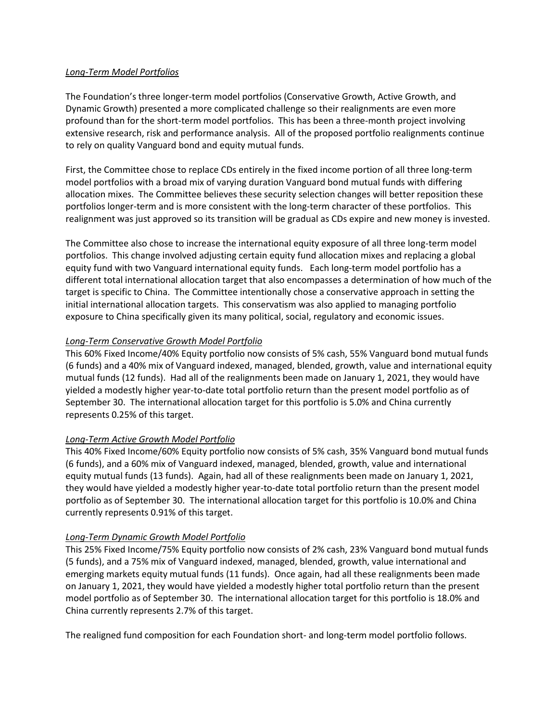### *Long-Term Model Portfolios*

The Foundation's three longer-term model portfolios (Conservative Growth, Active Growth, and Dynamic Growth) presented a more complicated challenge so their realignments are even more profound than for the short-term model portfolios. This has been a three-month project involving extensive research, risk and performance analysis. All of the proposed portfolio realignments continue to rely on quality Vanguard bond and equity mutual funds.

First, the Committee chose to replace CDs entirely in the fixed income portion of all three long-term model portfolios with a broad mix of varying duration Vanguard bond mutual funds with differing allocation mixes. The Committee believes these security selection changes will better reposition these portfolios longer-term and is more consistent with the long-term character of these portfolios. This realignment was just approved so its transition will be gradual as CDs expire and new money is invested.

The Committee also chose to increase the international equity exposure of all three long-term model portfolios. This change involved adjusting certain equity fund allocation mixes and replacing a global equity fund with two Vanguard international equity funds. Each long-term model portfolio has a different total international allocation target that also encompasses a determination of how much of the target is specific to China. The Committee intentionally chose a conservative approach in setting the initial international allocation targets. This conservatism was also applied to managing portfolio exposure to China specifically given its many political, social, regulatory and economic issues.

### *Long-Term Conservative Growth Model Portfolio*

This 60% Fixed Income/40% Equity portfolio now consists of 5% cash, 55% Vanguard bond mutual funds (6 funds) and a 40% mix of Vanguard indexed, managed, blended, growth, value and international equity mutual funds (12 funds). Had all of the realignments been made on January 1, 2021, they would have yielded a modestly higher year-to-date total portfolio return than the present model portfolio as of September 30. The international allocation target for this portfolio is 5.0% and China currently represents 0.25% of this target.

### *Long-Term Active Growth Model Portfolio*

This 40% Fixed Income/60% Equity portfolio now consists of 5% cash, 35% Vanguard bond mutual funds (6 funds), and a 60% mix of Vanguard indexed, managed, blended, growth, value and international equity mutual funds (13 funds). Again, had all of these realignments been made on January 1, 2021, they would have yielded a modestly higher year-to-date total portfolio return than the present model portfolio as of September 30. The international allocation target for this portfolio is 10.0% and China currently represents 0.91% of this target.

### *Long-Term Dynamic Growth Model Portfolio*

This 25% Fixed Income/75% Equity portfolio now consists of 2% cash, 23% Vanguard bond mutual funds (5 funds), and a 75% mix of Vanguard indexed, managed, blended, growth, value international and emerging markets equity mutual funds (11 funds). Once again, had all these realignments been made on January 1, 2021, they would have yielded a modestly higher total portfolio return than the present model portfolio as of September 30. The international allocation target for this portfolio is 18.0% and China currently represents 2.7% of this target.

The realigned fund composition for each Foundation short- and long-term model portfolio follows.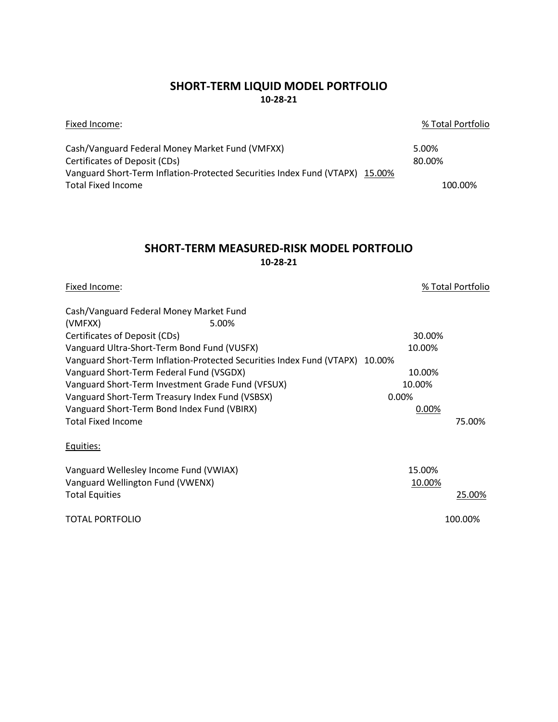### **SHORT-TERM LIQUID MODEL PORTFOLIO 10-28-21**

| Fixed Income:                                                                | % Total Portfolio |
|------------------------------------------------------------------------------|-------------------|
| Cash/Vanguard Federal Money Market Fund (VMFXX)                              | 5.00%             |
| Certificates of Deposit (CDs)                                                | 80.00%            |
| Vanguard Short-Term Inflation-Protected Securities Index Fund (VTAPX) 15.00% |                   |
| Total Fixed Income                                                           | 100.00%           |

### **SHORT-TERM MEASURED-RISK MODEL PORTFOLIO 10-28-21**

Fixed Income: % Total Portfolio

| Cash/Vanguard Federal Money Market Fund                                      |        |         |
|------------------------------------------------------------------------------|--------|---------|
| (VMFXX)<br>5.00%                                                             |        |         |
| Certificates of Deposit (CDs)                                                | 30.00% |         |
| Vanguard Ultra-Short-Term Bond Fund (VUSFX)                                  | 10.00% |         |
| Vanguard Short-Term Inflation-Protected Securities Index Fund (VTAPX) 10.00% |        |         |
| Vanguard Short-Term Federal Fund (VSGDX)                                     | 10.00% |         |
| Vanguard Short-Term Investment Grade Fund (VFSUX)                            | 10.00% |         |
| Vanguard Short-Term Treasury Index Fund (VSBSX)                              | 0.00%  |         |
| Vanguard Short-Term Bond Index Fund (VBIRX)                                  | 0.00%  |         |
| <b>Total Fixed Income</b>                                                    |        | 75.00%  |
| Equities:                                                                    |        |         |
| Vanguard Wellesley Income Fund (VWIAX)                                       | 15.00% |         |
| Vanguard Wellington Fund (VWENX)                                             | 10.00% |         |
| <b>Total Equities</b>                                                        |        | 25.00%  |
| <b>TOTAL PORTFOLIO</b>                                                       |        | 100.00% |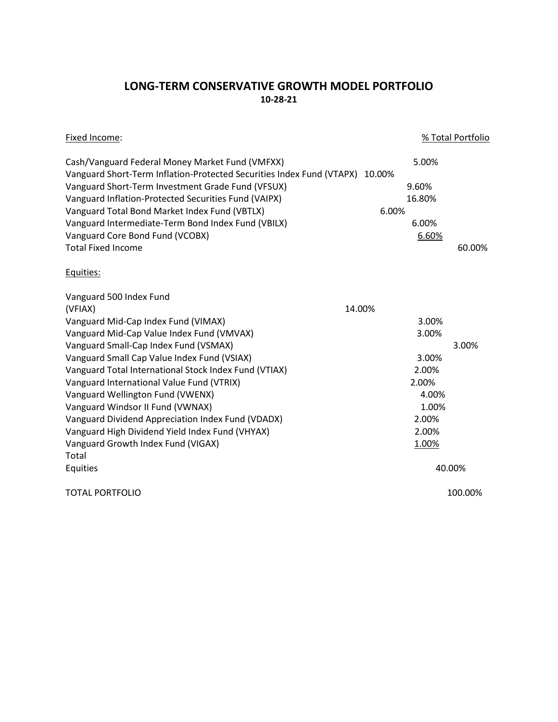# **LONG-TERM CONSERVATIVE GROWTH MODEL PORTFOLIO 10-28-21**

| Fixed Income:                                                                |        | % Total Portfolio |
|------------------------------------------------------------------------------|--------|-------------------|
| Cash/Vanguard Federal Money Market Fund (VMFXX)                              | 5.00%  |                   |
| Vanguard Short-Term Inflation-Protected Securities Index Fund (VTAPX) 10.00% |        |                   |
| Vanguard Short-Term Investment Grade Fund (VFSUX)                            | 9.60%  |                   |
| Vanguard Inflation-Protected Securities Fund (VAIPX)                         | 16.80% |                   |
| Vanguard Total Bond Market Index Fund (VBTLX)                                | 6.00%  |                   |
| Vanguard Intermediate-Term Bond Index Fund (VBILX)                           | 6.00%  |                   |
| Vanguard Core Bond Fund (VCOBX)                                              | 6.60%  |                   |
| <b>Total Fixed Income</b>                                                    |        | 60.00%            |
| Equities:                                                                    |        |                   |
| Vanguard 500 Index Fund                                                      |        |                   |
| (VFIAX)                                                                      | 14.00% |                   |
| Vanguard Mid-Cap Index Fund (VIMAX)                                          | 3.00%  |                   |
| Vanguard Mid-Cap Value Index Fund (VMVAX)                                    | 3.00%  |                   |
| Vanguard Small-Cap Index Fund (VSMAX)                                        |        | 3.00%             |
| Vanguard Small Cap Value Index Fund (VSIAX)                                  | 3.00%  |                   |
| Vanguard Total International Stock Index Fund (VTIAX)                        | 2.00%  |                   |
| Vanguard International Value Fund (VTRIX)                                    | 2.00%  |                   |
| Vanguard Wellington Fund (VWENX)                                             | 4.00%  |                   |
| Vanguard Windsor II Fund (VWNAX)                                             | 1.00%  |                   |
| Vanguard Dividend Appreciation Index Fund (VDADX)                            | 2.00%  |                   |
| Vanguard High Dividend Yield Index Fund (VHYAX)                              | 2.00%  |                   |
| Vanguard Growth Index Fund (VIGAX)                                           | 1.00%  |                   |
| Total                                                                        |        |                   |
| Equities                                                                     |        | 40.00%            |
| <b>TOTAL PORTFOLIO</b>                                                       |        | 100.00%           |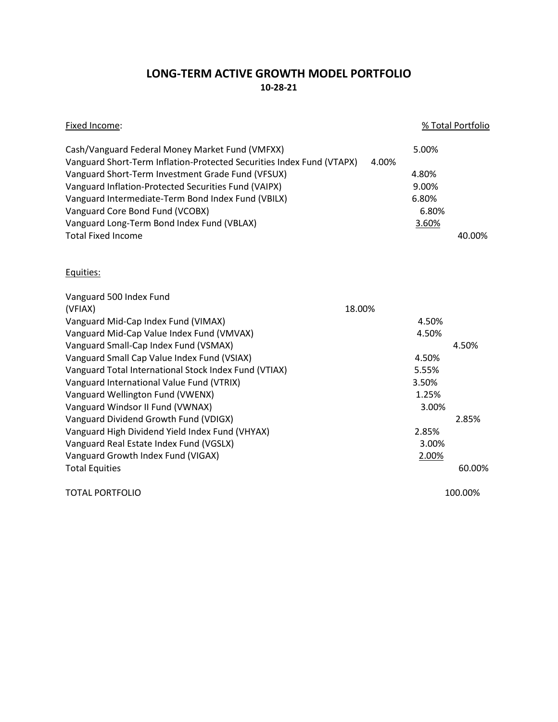# **LONG-TERM ACTIVE GROWTH MODEL PORTFOLIO 10-28-21**

| Fixed Income:                                                           |                | % Total Portfolio |
|-------------------------------------------------------------------------|----------------|-------------------|
| Cash/Vanguard Federal Money Market Fund (VMFXX)                         | 5.00%          |                   |
| Vanguard Short-Term Inflation-Protected Securities Index Fund (VTAPX)   | 4.00%          |                   |
| Vanguard Short-Term Investment Grade Fund (VFSUX)                       | 4.80%          |                   |
| Vanguard Inflation-Protected Securities Fund (VAIPX)                    | 9.00%<br>6.80% |                   |
| Vanguard Intermediate-Term Bond Index Fund (VBILX)                      |                |                   |
| Vanguard Core Bond Fund (VCOBX)                                         | 6.80%          |                   |
| Vanguard Long-Term Bond Index Fund (VBLAX)<br><b>Total Fixed Income</b> | 3.60%          | 40.00%            |
|                                                                         |                |                   |
| Equities:                                                               |                |                   |
| Vanguard 500 Index Fund                                                 |                |                   |
| 18.00%<br>(VFIAX)                                                       |                |                   |
| Vanguard Mid-Cap Index Fund (VIMAX)                                     | 4.50%          |                   |
| Vanguard Mid-Cap Value Index Fund (VMVAX)                               | 4.50%          |                   |
| Vanguard Small-Cap Index Fund (VSMAX)                                   |                | 4.50%             |
| Vanguard Small Cap Value Index Fund (VSIAX)                             | 4.50%          |                   |
| Vanguard Total International Stock Index Fund (VTIAX)                   | 5.55%          |                   |
| Vanguard International Value Fund (VTRIX)                               | 3.50%          |                   |
| Vanguard Wellington Fund (VWENX)                                        | 1.25%          |                   |
| Vanguard Windsor II Fund (VWNAX)                                        | 3.00%          |                   |
| Vanguard Dividend Growth Fund (VDIGX)                                   |                | 2.85%             |
| Vanguard High Dividend Yield Index Fund (VHYAX)                         | 2.85%          |                   |
| Vanguard Real Estate Index Fund (VGSLX)                                 | 3.00%          |                   |
| Vanguard Growth Index Fund (VIGAX)                                      | 2.00%          |                   |
| <b>Total Equities</b>                                                   |                | 60.00%            |
| <b>TOTAL PORTFOLIO</b>                                                  |                | 100.00%           |